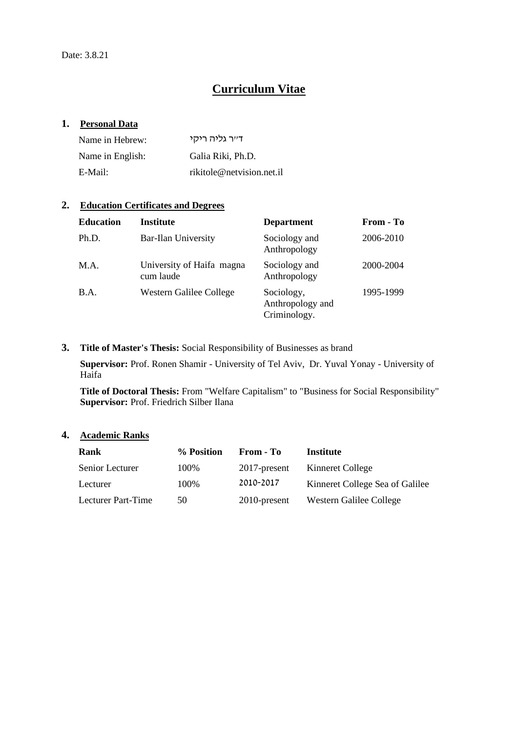# **Curriculum Vitae**

### **1. Personal Data**

| Name in Hebrew:  | דייר גליה ריקי            |
|------------------|---------------------------|
| Name in English: | Galia Riki, Ph.D.         |
| E-Mail:          | rikitole@netvision.net.il |

### **2. Education Certificates and Degrees**

| <b>Education</b> | <b>Institute</b>                       | <b>Department</b>                              | From - To |
|------------------|----------------------------------------|------------------------------------------------|-----------|
| Ph.D.            | <b>Bar-Ilan University</b>             | Sociology and<br>Anthropology                  | 2006-2010 |
| M.A.             | University of Haifa magna<br>cum laude | Sociology and<br>Anthropology                  | 2000-2004 |
| B.A.             | Western Galilee College                | Sociology,<br>Anthropology and<br>Criminology. | 1995-1999 |

### **3. Title of Master's Thesis:** Social Responsibility of Businesses as brand

**Supervisor:** Prof. Ronen Shamir - University of Tel Aviv, Dr. Yuval Yonay - University of Haifa

**Title of Doctoral Thesis:** From "Welfare Capitalism" to "Business for Social Responsibility" **Supervisor:** Prof. Friedrich Silber Ilana

### **4. Academic Ranks**

| <b>Rank</b>        | % Position | From - To    | Institute                       |
|--------------------|------------|--------------|---------------------------------|
| Senior Lecturer    | 100\%      | 2017-present | Kinneret College                |
| Lecturer           | 100%       | 2010-2017    | Kinneret College Sea of Galilee |
| Lecturer Part-Time | 50         | 2010-present | Western Galilee College         |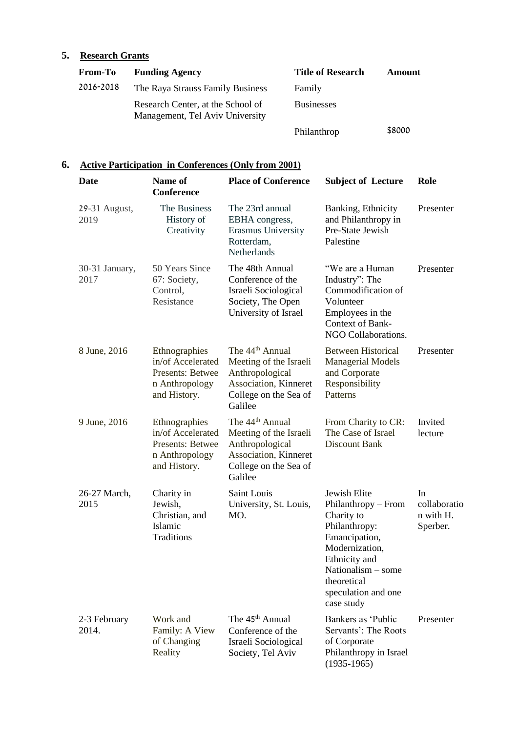## **5. Research Grants**

| <b>From-To</b> | <b>Funding Agency</b>                                                | <b>Title of Research</b> | Amount |
|----------------|----------------------------------------------------------------------|--------------------------|--------|
| 2016-2018      | The Raya Strauss Family Business                                     | Family                   |        |
|                | Research Center, at the School of<br>Management, Tel Aviv University | <b>Businesses</b>        |        |
|                |                                                                      | Philanthrop              | \$8000 |

### **6. Active Participation in Conferences (Only from 2001)**

| Date                   | Name of<br><b>Conference</b>                                                             | <b>Place of Conference</b>                                                                                                            | <b>Subject of Lecture</b>                                                                                                                                                                          | Role                                        |
|------------------------|------------------------------------------------------------------------------------------|---------------------------------------------------------------------------------------------------------------------------------------|----------------------------------------------------------------------------------------------------------------------------------------------------------------------------------------------------|---------------------------------------------|
| 29-31 August,<br>2019  | The Business<br>History of<br>Creativity                                                 | The 23rd annual<br>EBHA congress,<br>Erasmus University<br>Rotterdam,<br>Netherlands                                                  | Banking, Ethnicity<br>and Philanthropy in<br>Pre-State Jewish<br>Palestine                                                                                                                         | Presenter                                   |
| 30-31 January,<br>2017 | 50 Years Since<br>67: Society,<br>Control,<br>Resistance                                 | The 48th Annual<br>Conference of the<br>Israeli Sociological<br>Society, The Open<br>University of Israel                             | "We are a Human<br>Industry": The<br>Commodification of<br>Volunteer<br>Employees in the<br>Context of Bank-<br>NGO Collaborations.                                                                | Presenter                                   |
| 8 June, 2016           | Ethnographies<br>in/of Accelerated<br>Presents: Betwee<br>n Anthropology<br>and History. | The 44 <sup>th</sup> Annual<br>Meeting of the Israeli<br>Anthropological<br>Association, Kinneret<br>College on the Sea of<br>Galilee | <b>Between Historical</b><br><b>Managerial Models</b><br>and Corporate<br>Responsibility<br>Patterns                                                                                               | Presenter                                   |
| 9 June, 2016           | Ethnographies<br>in/of Accelerated<br>Presents: Betwee<br>n Anthropology<br>and History. | The 44 <sup>th</sup> Annual<br>Meeting of the Israeli<br>Anthropological<br>Association, Kinneret<br>College on the Sea of<br>Galilee | From Charity to CR:<br>The Case of Israel<br><b>Discount Bank</b>                                                                                                                                  | Invited<br>lecture                          |
| 26-27 March,<br>2015   | Charity in<br>Jewish,<br>Christian, and<br>Islamic<br>Traditions                         | Saint Louis<br>University, St. Louis,<br>MO.                                                                                          | Jewish Elite<br>Philanthropy - From<br>Charity to<br>Philanthropy:<br>Emancipation,<br>Modernization,<br>Ethnicity and<br>Nationalism $-$ some<br>theoretical<br>speculation and one<br>case study | In<br>collaboratio<br>n with H.<br>Sperber. |
| 2-3 February<br>2014.  | Work and<br>Family: A View<br>of Changing<br>Reality                                     | The 45 <sup>th</sup> Annual<br>Conference of the<br>Israeli Sociological<br>Society, Tel Aviv                                         | Bankers as 'Public<br>Servants': The Roots<br>of Corporate<br>Philanthropy in Israel<br>$(1935-1965)$                                                                                              | Presenter                                   |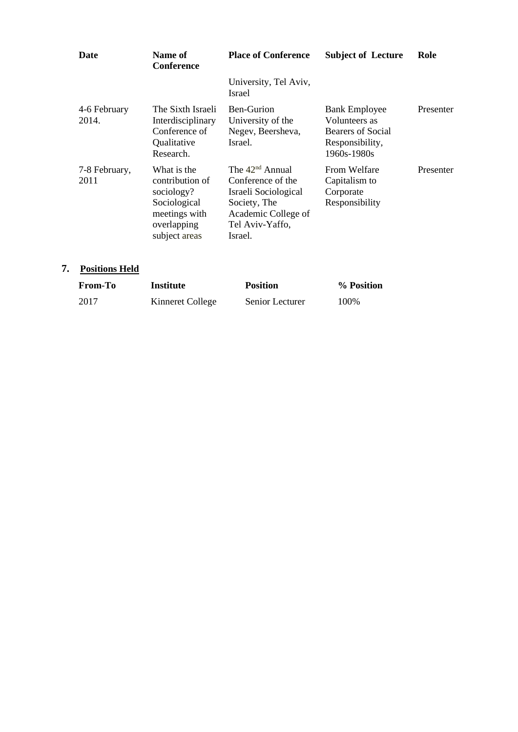| Date                  | Name of<br><b>Conference</b>                                                                                  | <b>Place of Conference</b>                                                                                                          | <b>Subject of Lecture</b>                                                                    | Role      |
|-----------------------|---------------------------------------------------------------------------------------------------------------|-------------------------------------------------------------------------------------------------------------------------------------|----------------------------------------------------------------------------------------------|-----------|
|                       |                                                                                                               | University, Tel Aviv,<br>Israel                                                                                                     |                                                                                              |           |
| 4-6 February<br>2014. | The Sixth Israeli<br>Interdisciplinary<br>Conference of<br>Qualitative<br>Research.                           | Ben-Gurion<br>University of the<br>Negev, Beersheva,<br>Israel.                                                                     | <b>Bank Employee</b><br>Volunteers as<br>Bearers of Social<br>Responsibility,<br>1960s-1980s | Presenter |
| 7-8 February,<br>2011 | What is the<br>contribution of<br>sociology?<br>Sociological<br>meetings with<br>overlapping<br>subject areas | The $42nd$ Annual<br>Conference of the<br>Israeli Sociological<br>Society, The<br>Academic College of<br>Tel Aviv-Yaffo,<br>Israel. | From Welfare<br>Capitalism to<br>Corporate<br>Responsibility                                 | Presenter |

## **7. Positions Held**

| <b>From-To</b> | <b>Institute</b> | <b>Position</b> | % Position |
|----------------|------------------|-----------------|------------|
| 2017           | Kinneret College | Senior Lecturer | 100%       |